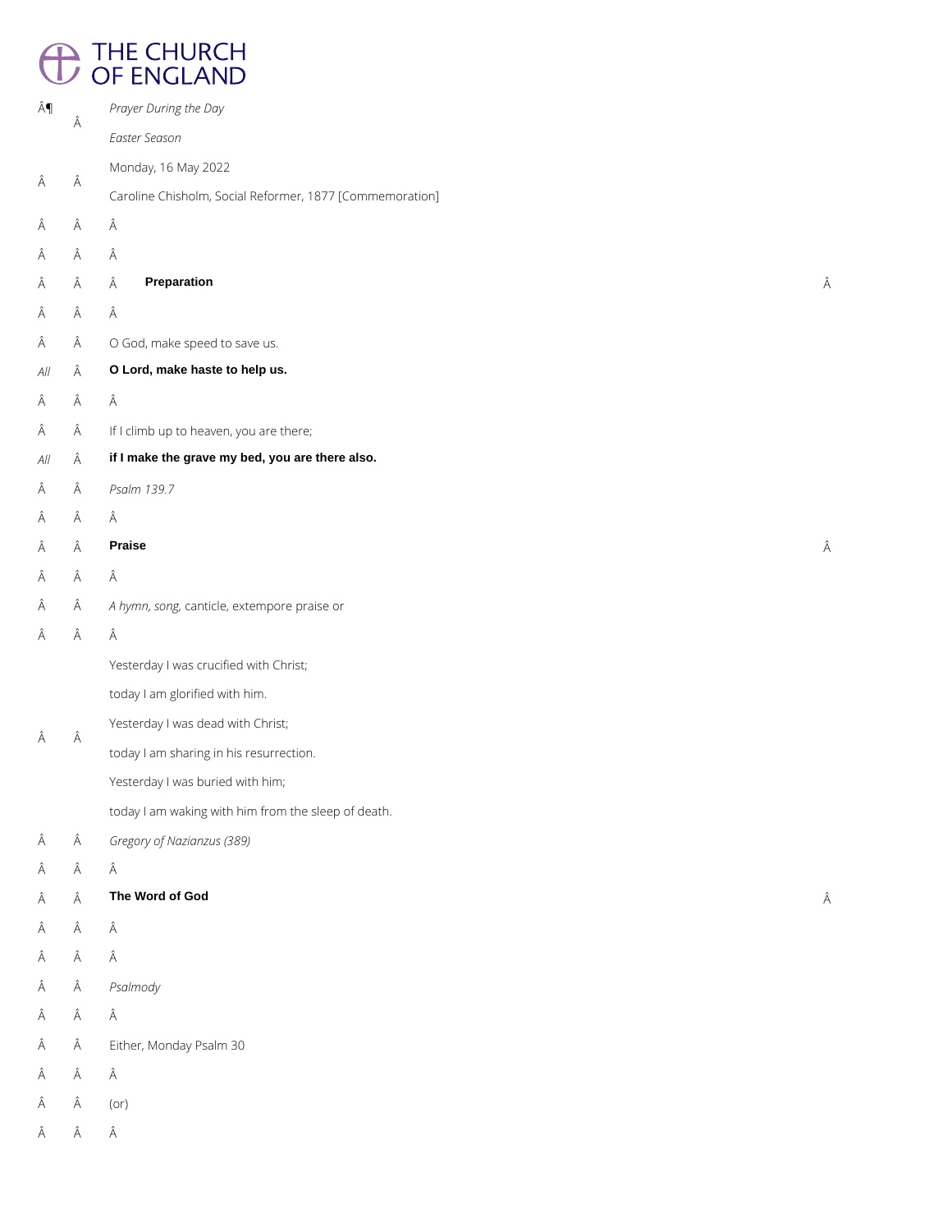# <sup>1</sup> THE CHURCH<br>
OF ENGLAND

| ¶   | Â | Prayer During the Day                                    |   |
|-----|---|----------------------------------------------------------|---|
|     |   | Easter Season                                            |   |
| Â   | Â | Monday, 16 May 2022                                      |   |
|     |   | Caroline Chisholm, Social Reformer, 1877 [Commemoration] |   |
| Â   | Â | Â                                                        |   |
| Â   | Â | Â                                                        |   |
| Â   | Â | <b>Preparation</b><br>Â                                  | Â |
| Â   | Â | Â                                                        |   |
| Â   | Â | O God, make speed to save us.                            |   |
| All | Â | O Lord, make haste to help us.                           |   |
| Â   | Â | Â                                                        |   |
| Â   | Â | If I climb up to heaven, you are there;                  |   |
| All | Â | if I make the grave my bed, you are there also.          |   |
| Â   | Â | Psalm 139.7                                              |   |
| Â   | Â | Â                                                        |   |
| Â   | Â | <b>Praise</b>                                            | Â |
| Â   | Â | Â                                                        |   |
| Â   | Â | A hymn, song, canticle, extempore praise or              |   |
| Â   | Â | Â                                                        |   |
|     | Â | Yesterday I was crucified with Christ;                   |   |
|     |   | today I am glorified with him.                           |   |
|     |   | Yesterday I was dead with Christ;                        |   |
| Â   |   | today I am sharing in his resurrection.                  |   |
|     |   | Yesterday I was buried with him;                         |   |
|     |   | today I am waking with him from the sleep of death.      |   |
| Â   | Â | Gregory of Nazianzus (389)                               |   |
| Â   | Â | Â                                                        |   |
| Α   | Â | The Word of God                                          | Â |

## $\hat{\mathsf{A}}\qquad \hat{\mathsf{A}}\qquad \hat{\mathsf{A}}$

 $\hat{\mathsf{A}}\qquad \hat{\mathsf{A}}\qquad \hat{\mathsf{A}}$ 

*Psalmody*

 $\hat{\mathsf{A}}\qquad \hat{\mathsf{A}}\qquad \hat{\mathsf{A}}$ 

 $\hat{A}$  Either, Monday Psalm 30

 $\hat{\mathsf{A}}\qquad \hat{\mathsf{A}}\qquad \hat{\mathsf{A}}$ 

 $\hat{A}$   $\hat{A}$  (or)

 $\hat{\mathsf{A}}\qquad \hat{\mathsf{A}}\qquad \hat{\mathsf{A}}$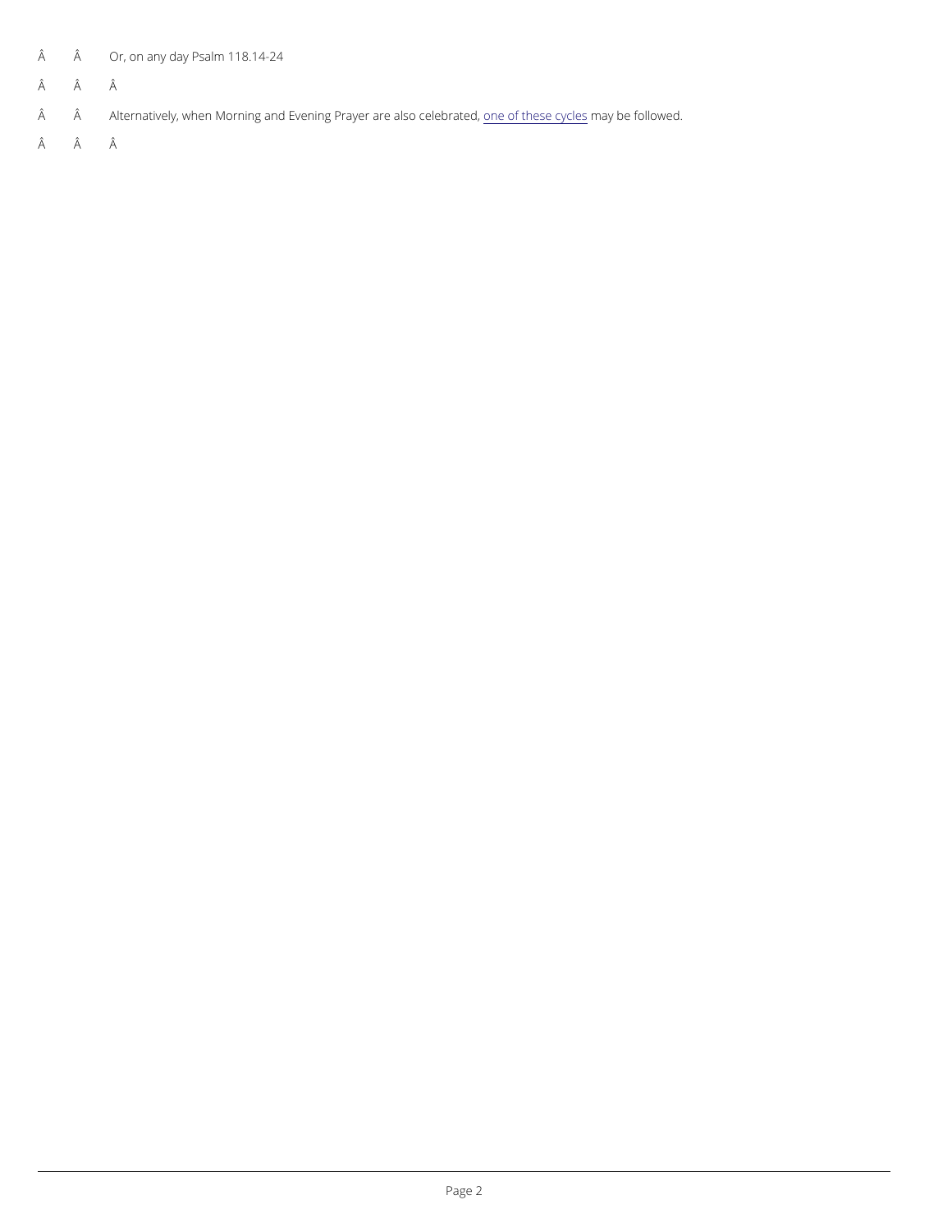$\hat{A}$   $\hat{A}$  Or, on any P day m 118.14-24

Â Â

Â Alternatively, when Morning and Evening P<u>roanyeerofat**e**leas</u>les **congr**yell**eese**rfaotleIdwed.

Â Â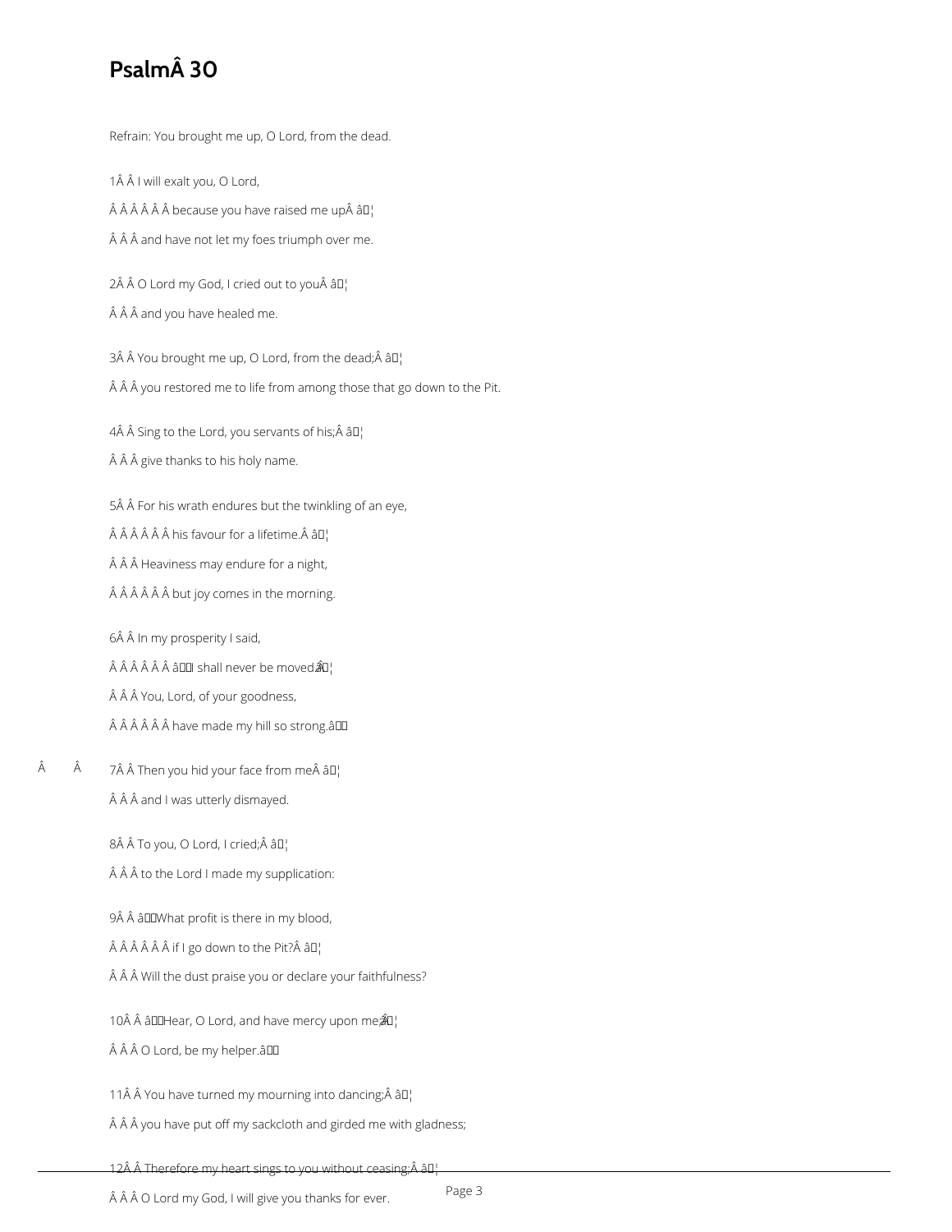# **Psalm 30**

Refrain: You brought me up, O Lord, from the dead.

1Â Â I will exalt you, O Lord,

 $\hat{A}$   $\hat{A}$   $\hat{A}$   $\hat{A}$   $\hat{A}$  because you have raised me up $\hat{A}$   $\hat{a}$  $\Box$ 

 $\hat{A}$   $\hat{A}$   $\hat{A}$  and have not let my foes triumph over me.

 $2\hat{A}$   $\hat{A}$  O Lord my God, I cried out to you $\hat{A}$   $\hat{a}$  $\Box$ 

 $\hat{A}$   $\hat{A}$   $\hat{A}$  and you have healed me.

3Â Â You brought me up, O Lord, from the dead; Â â $\mathbb{I}^1$ 

 $\hat{A}$   $\hat{A}$   $\hat{A}$  you restored me to life from among those that go down to the Pit.

4Â Â Sing to the Lord, you servants of his; Â â $\mathbb{I}^1$ 

Â Â give thanks to his holy name.

5Â Â For his wrath endures but the twinkling of an eye,

 $\hat{A}$   $\hat{A}$   $\hat{A}$   $\hat{A}$   $\hat{A}$  his favour for a lifetime. $\hat{A}$   $\hat{a}$  $\Gamma$ 

 $\hat{A}$   $\hat{A}$   $\hat{A}$  Heaviness may endure for a night,

 $\hat{A}$   $\hat{A}$   $\hat{A}$   $\hat{A}$   $\hat{A}$   $\hat{B}$  but joy comes in the morning.

6Â Â In my prosperity I said,

 $\hat{A}$   $\hat{A}$   $\hat{A}$   $\hat{A}$   $\hat{A}$   $\hat{B}$   $\Box$  shall never be moved  $\hat{A}$  $\Box$ 

Â Â You, Lord, of your goodness,

Â Â Â Â have made my hill so strong.âDD

 Â 7 Then you hid your face from me â [] Â Â and I was utterly dismayed.

8Â Â To you, O Lord, I cried;Â â []

 $\hat{A}$   $\hat{A}$   $\hat{A}$  to the Lord I made my supplication:

9Â Â âDDWhat profit is there in my blood,

 $\hat{A}$   $\hat{A}$   $\hat{A}$   $\hat{A}$   $\hat{A}$  if I go down to the Pit? $\hat{A}$   $\hat{a}$  $\Box$ 

 $\hat{A}$   $\hat{A}$   $\hat{A}$  Will the dust praise you or declare your faithfulness?

10Â Â â $DIHear$ , O Lord, and have mercy upon me $\hat{A}$  $I$ <sup>'</sup>

ÂÂÂO Lord, be my helper.âll

11Â Â You have turned my mourning into dancing; Â â $\mathbb{I}_1^1$ 

 $\hat{A}$   $\hat{A}$   $\hat{A}$  you have put off my sackcloth and girded me with gladness;

Page 3

12Â Â Therefore my heart sings to you without ceasing; Â â L

 $\hat{A}$   $\hat{A}$   $\hat{A}$   $O$  Lord my God, I will give you thanks for ever.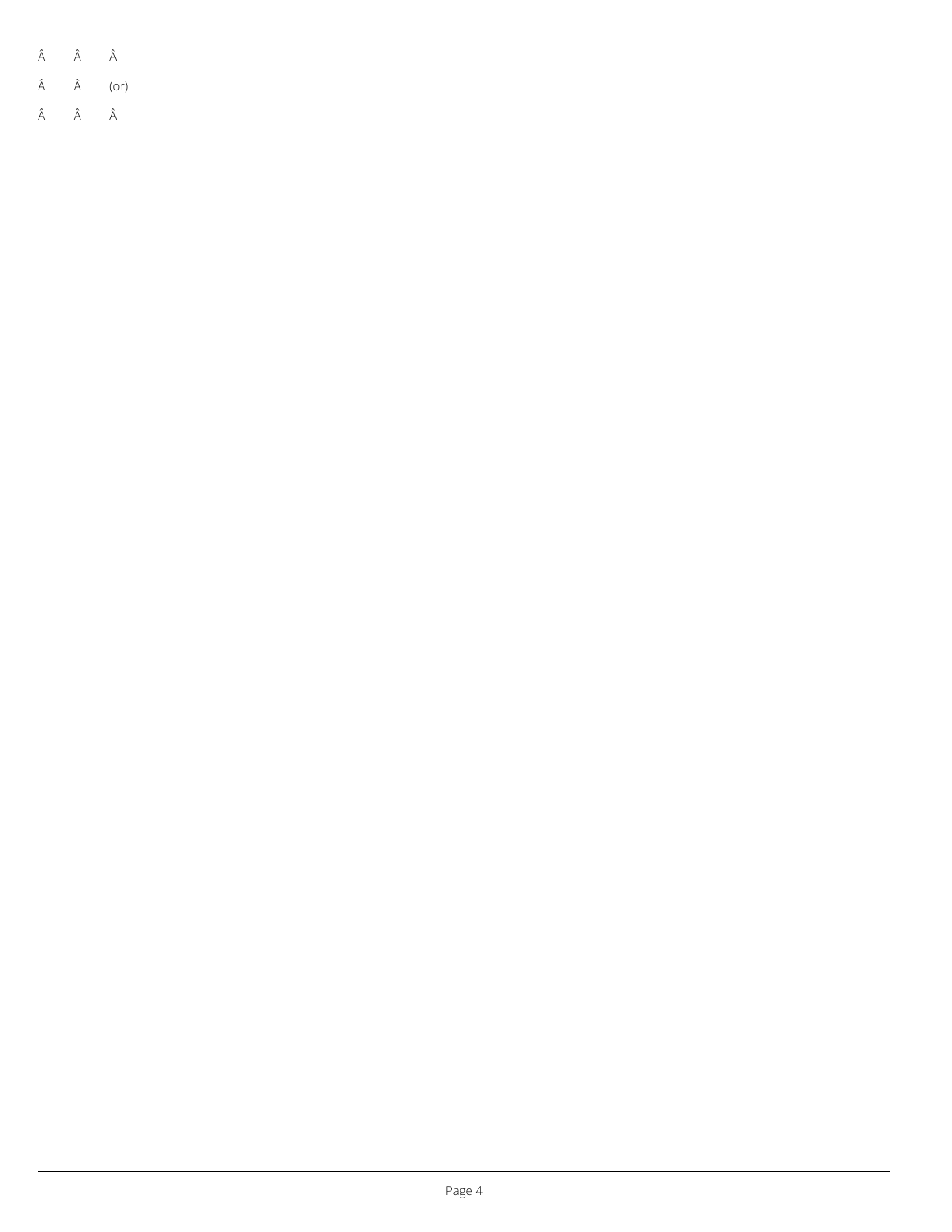|  | Ä | Ä | A |  |
|--|---|---|---|--|
|--|---|---|---|--|

 $\hat{A}$   $\hat{A}$  (or)

 $\hat{\mathsf{A}}\qquad \hat{\mathsf{A}}\qquad \hat{\mathsf{A}}$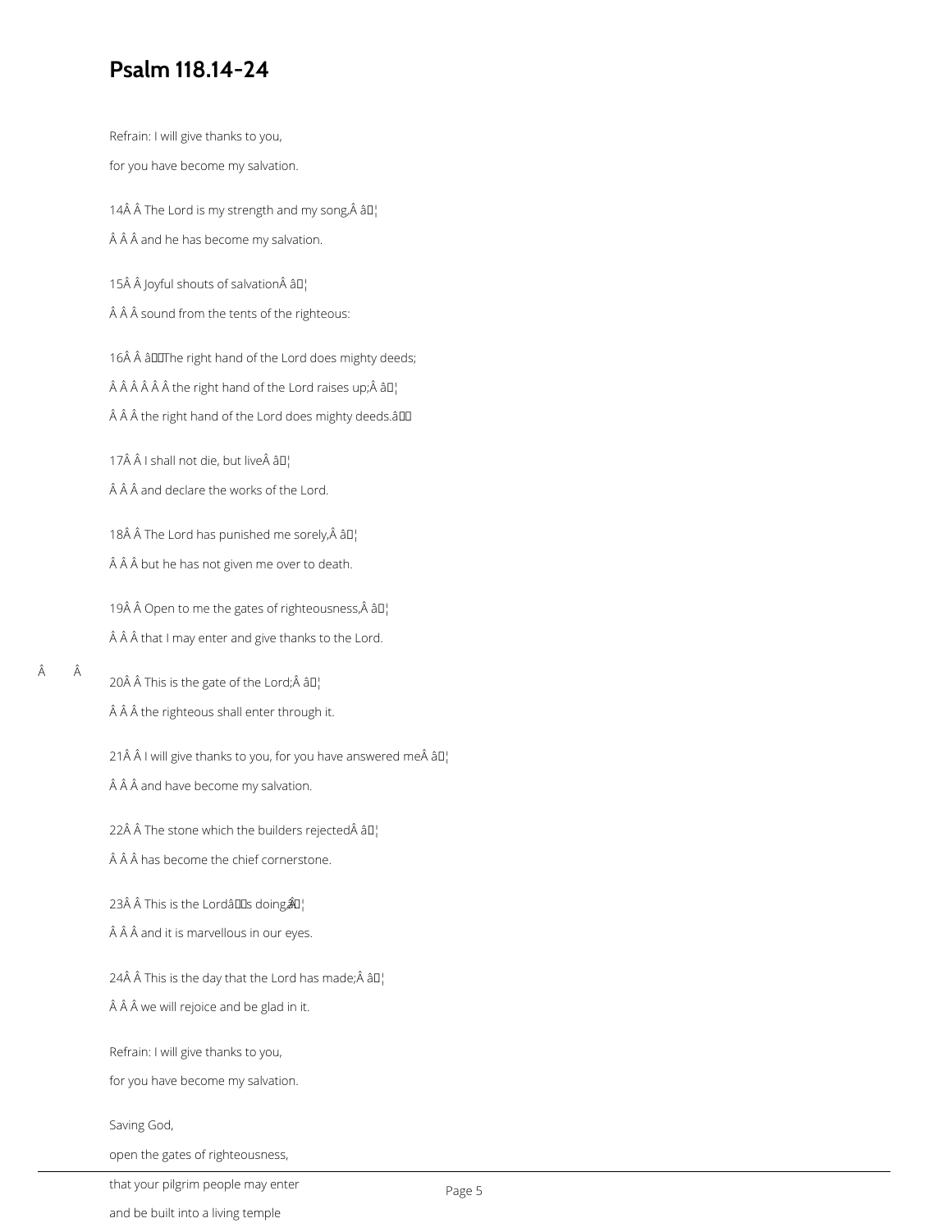# **Psalm 118.14-24**

Refrain: I will give thanks to you,

for you have become my salvation.

14 $\hat{A}$   $\hat{A}$  The Lord is my strength and my song, $\hat{A}$   $\hat{a}$  $\Box$ 

 $\hat{A}$   $\hat{A}$   $\hat{A}$  and he has become my salvation.

15 Joyful shouts of salvation âD¦

 $\hat{A}$   $\hat{A}$  sound from the tents of the righteous:

16Â Â âDDThe right hand of the Lord does mighty deeds;  $\hat{A}$   $\hat{A}$   $\hat{A}$   $\hat{A}$   $\hat{A}$  the right hand of the Lord raises up;  $\hat{A}$   $\hat{a}$  $\Gamma$ <sub>1</sub>  $\hat{A}$   $\hat{A}$   $\hat{A}$  the right hand of the Lord does mighty deeds. $\hat{a}$ III

17 $\hat{A}$   $\hat{A}$  I shall not die, but live $\hat{A}$   $\hat{a}$  $\Gamma$ 

 $\hat{A}$   $\hat{A}$   $\hat{A}$  and declare the works of the Lord.

18Â Â The Lord has punished me sorely, Â â []  $\hat{A}$   $\hat{A}$   $\hat{A}$  but he has not given me over to death.

19 $\hat{A}$   $\hat{A}$  Open to me the gates of righteousness, $\hat{A}$   $\hat{a}$  $\Gamma$  $\hat{A}$   $\hat{A}$   $\hat{A}$  that I may enter and give thanks to the Lord.

Â

20 $\hat{A}$   $\hat{A}$  This is the gate of the Lord; $\hat{A}$   $\hat{a}$  $\Box$ Â Â the righteous shall enter through it.

21 $\hat{A}$   $\hat{A}$  I will give thanks to you, for you have answered me $\hat{A}$   $\hat{a}$   $\Gamma$  $\hat{A}$   $\hat{A}$   $\hat{A}$  and have become my salvation.

22Å  $\hat{A}$  The stone which the builders rejected $\hat{A}$   $\hat{a}$ D<sub>1</sub>

 $\hat{A}$   $\hat{A}$   $\hat{A}$  has become the chief cornerstone.

23Å  $\hat{A}$  This is the Lordâlls doing $\hat{A}$ u¦

Â Â and it is marvellous in our eyes.

24 $\hat{A}$   $\hat{A}$  This is the day that the Lord has made; $\hat{A}$   $\hat{a}$  $\Box$ 

 $\hat{A}$   $\hat{A}$  we will rejoice and be glad in it.

Refrain: I will give thanks to you,

for you have become my salvation.

Saving God,

open the gates of righteousness,

that your pilgrim people may enter

and be built into a living temple

Page 5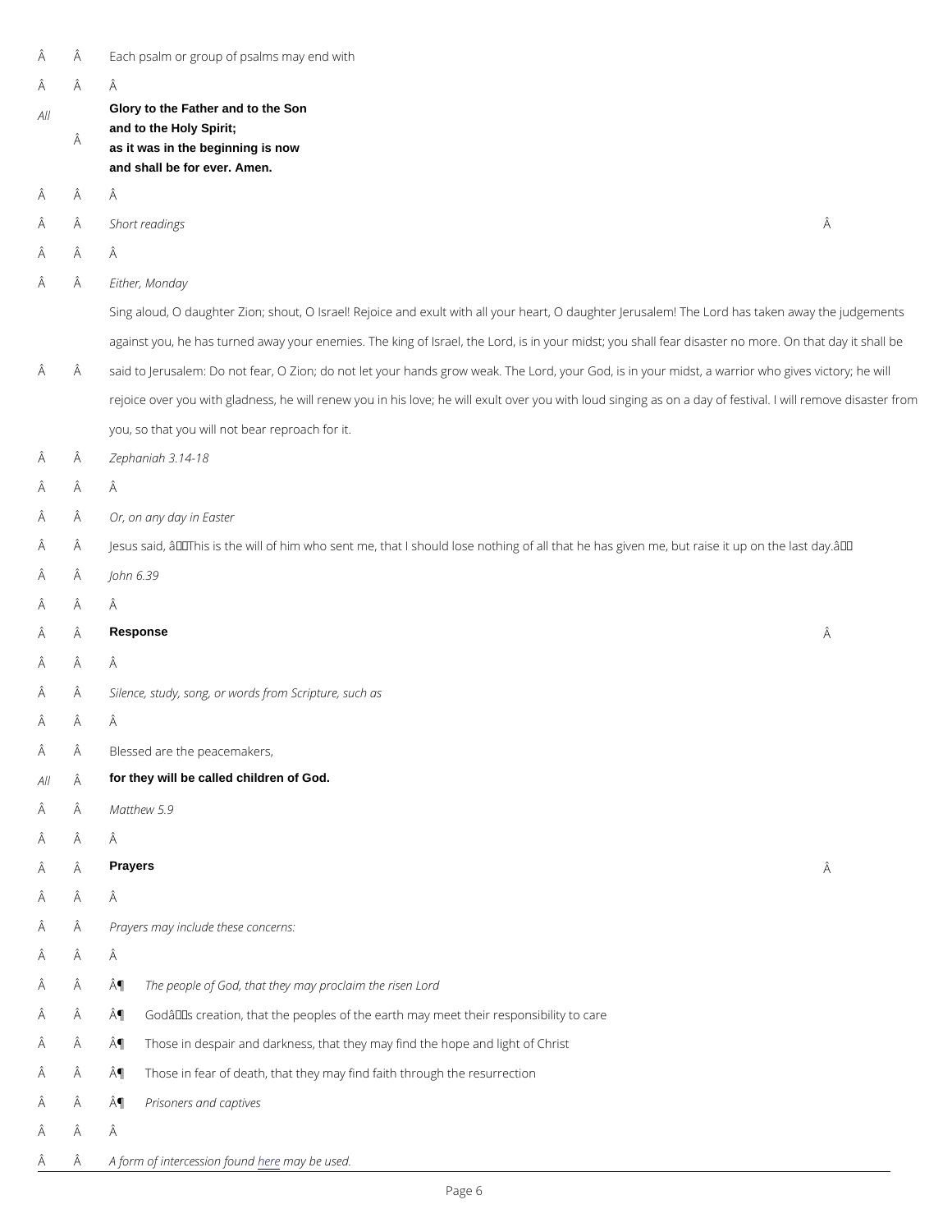| Â     |   | Each psalm or group of psalms may end with                                                         |   |  |  |
|-------|---|----------------------------------------------------------------------------------------------------|---|--|--|
| Â     |   | Â                                                                                                  |   |  |  |
| AII   |   | Glory to the Father and to the Son                                                                 |   |  |  |
|       | Â | and to the Holy Spirit;<br>as it was in the beginning is now                                       |   |  |  |
|       |   | and shall be for ever. Amen.                                                                       |   |  |  |
| Â     |   | Â                                                                                                  |   |  |  |
| Â     |   | Short readings                                                                                     | Â |  |  |
| Â     |   | Â                                                                                                  |   |  |  |
| Â     |   | Either, Monday                                                                                     |   |  |  |
|       |   | Sing aloud, O daughter Zion; shout, O Israel! Rejoice and exult with all your heart, O daughter    |   |  |  |
|       |   | against you, he has turned away your enemies. The king of Israel, the Lord, is in your midst; yo   |   |  |  |
| Â     |   | said to Jerusalem: Do not fear, O Zion; do not let your hands grow weak. The Lord, your God, is    |   |  |  |
|       |   | rejoice over you with gladness, he will renew you in his love; he will exult over you with loud si |   |  |  |
|       |   | you, so that you will not bear reproach for it.                                                    |   |  |  |
| Â     |   | Zephaniah 3.14-18                                                                                  |   |  |  |
| Â     |   | Â                                                                                                  |   |  |  |
| Â     |   | Or, on any day in Easter                                                                           |   |  |  |
| Â     |   | Jesus said, â€~This is the will of him who sent me, that I should lose nothing of all that he has  |   |  |  |
| Â     |   | John 6.39                                                                                          |   |  |  |
|       | Â |                                                                                                    |   |  |  |
| Â     |   | Response                                                                                           | Â |  |  |
| Â     |   | Â                                                                                                  |   |  |  |
| Â     |   | Silence, study, song, or words from Scripture, such as                                             |   |  |  |
|       | Â |                                                                                                    |   |  |  |
| Â     |   | Blessed are the peacemakers,                                                                       |   |  |  |
| All Â |   | for they will be called children of God.                                                           |   |  |  |
| Â     |   | Matthew 5.9                                                                                        |   |  |  |
| Â     |   | Â                                                                                                  |   |  |  |
| Â     | Â | Prayers                                                                                            | Â |  |  |

Â Â

Prayers may include these concerns:

Â Â

- A A  $\hat{A}$  The people of God, that they may proclaim the risen Lord
- $\hat{A}$   $\hat{A}$   $\hat{A}$   $\hat{B}$  Godâ $\in$  TMs creation, that the peoples of the earth may meet their responsibility to care
- A A  $\hat{A}$  Those in despair and darkness, that they may find the hope and light of Christ
- A A  $\hat{A}$  Those in fear of death, that they may find faith through the resurrection
- A  $\hat{A}$  A¶ Prisoners and captives
- Â Â
- $\hat{A}$   $\hat{A}$  A form of interce sing t[he](https://daily.commonworship.com/day/intercessions.html#easter) analyo bedused.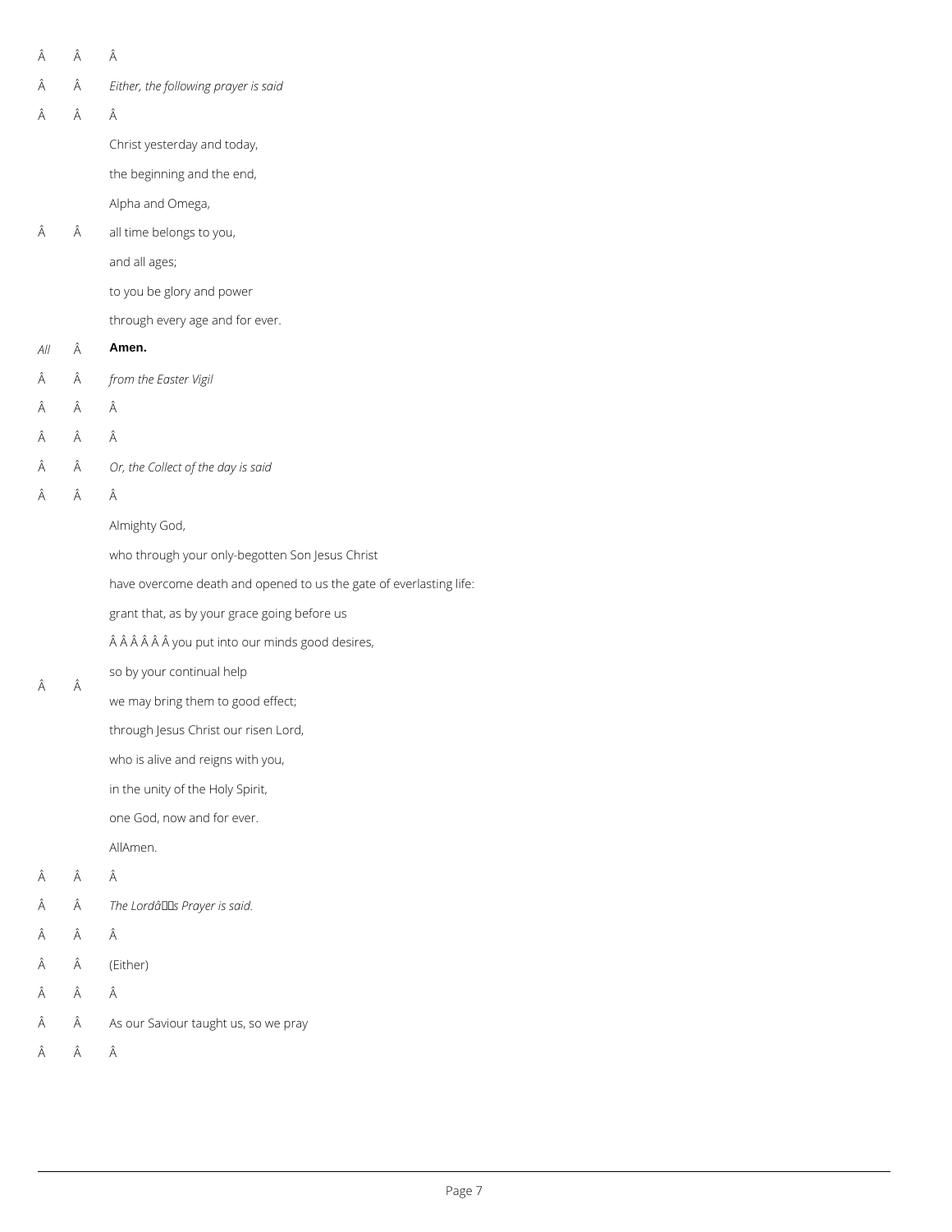- $\hat{\mathsf{A}}\qquad \hat{\mathsf{A}}\qquad \hat{\mathsf{A}}$
- *Either, the following prayer is said*
- $\hat{A}$   $\hat{A}$   $\hat{A}$

Christ yesterday and today,

 Â all time belongs to you,

the beginning and the end,

- *from the Easter Vigil*
- Â Â
- $\hat{A}$   $\hat{A}$   $\hat{A}$
- *Or, the Collect of the day is said*
- $\hat{A}$   $\hat{A}$   $\hat{A}$

Alpha and Omega,

and all ages;

to you be glory and power

through every age and for ever.

#### *All* **Amen.**

Almighty God,

who through your only-begotten Son Jesus Christ

have overcome death and opened to us the gate of everlasting life:

grant that, as by your grace going before us

Â Â Â Â you put into our minds good desires,

## so by your continual help

Â

we may bring them to good effect;

through Jesus Christ our risen Lord,

who is alive and reigns with you,

in the unity of the Holy Spirit,

one God, now and for ever.

AllAmen.

- Â Â
- $\hat{A}$  The Lordâ<sup>II</sup>S Prayer is said.

#### $\hat{A}$   $\hat{A}$   $\hat{A}$

### (Either)

 $\hat{A}$   $\hat{A}$   $\hat{A}$ 

 $\hat{A}$   $\hat{A}$  As our Saviour taught us, so we pray

 $\hat{\mathsf{A}}\qquad \hat{\mathsf{A}}\qquad \hat{\mathsf{A}}$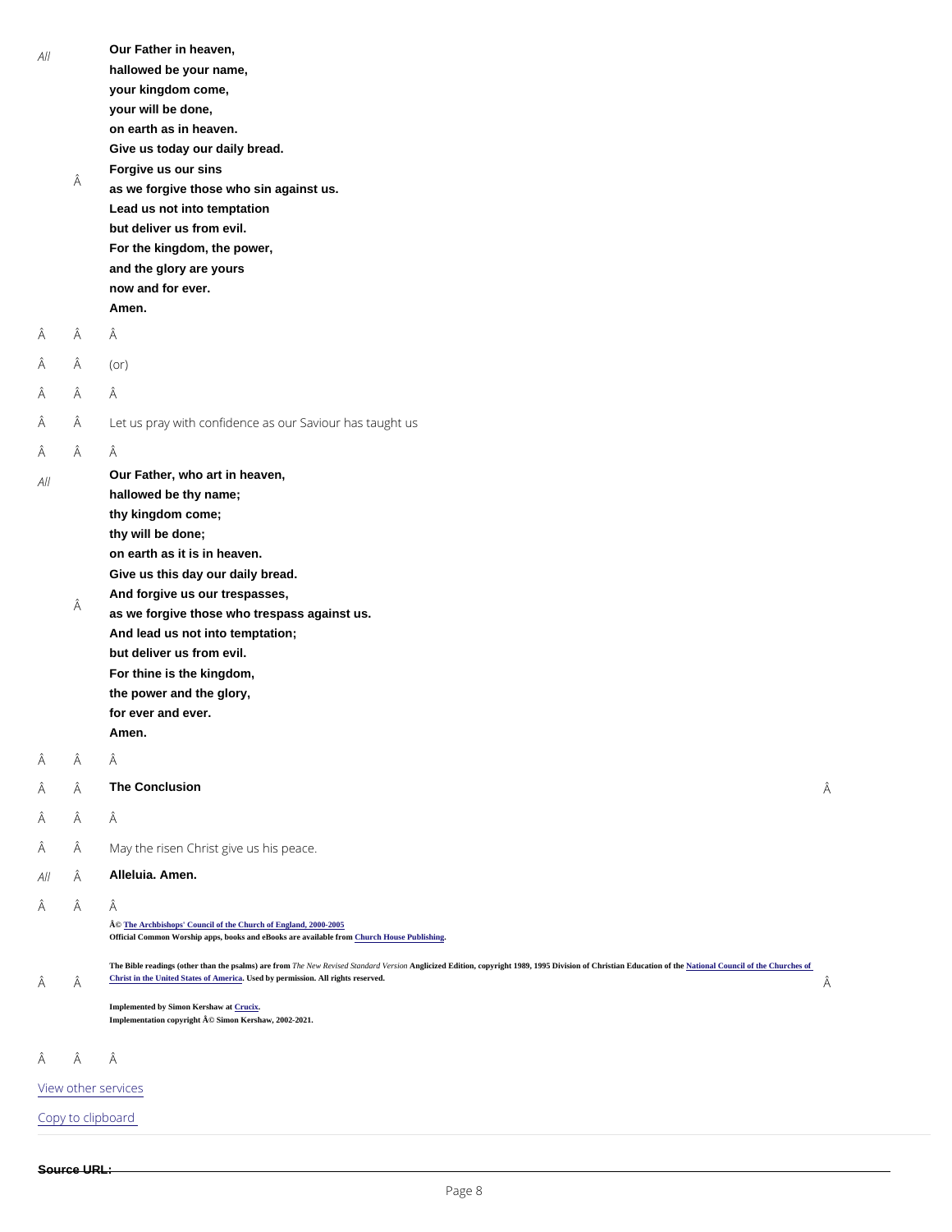| $A$   |   | Our Father in heaven,                                    |   |
|-------|---|----------------------------------------------------------|---|
|       |   | hallowed be your name,                                   |   |
|       |   | your kingdom come,                                       |   |
|       |   | your will be done,                                       |   |
|       |   | on earth as in heaven.                                   |   |
|       |   | Give us today our daily bread.                           |   |
|       |   | Forgive us our sins                                      |   |
|       | Â | as we forgive those who sin against us.                  |   |
|       |   | Lead us not into temptation                              |   |
|       |   | but deliver us from evil.                                |   |
|       |   | For the kingdom, the power,                              |   |
|       |   | and the glory are yours                                  |   |
|       |   | now and for ever.                                        |   |
|       |   | Amen.                                                    |   |
| Â     | Â | Â                                                        |   |
|       |   |                                                          |   |
| Â     | Â | $($ or $)$                                               |   |
| Â     | Â | Â                                                        |   |
| Â     | Â | Let us pray with confidence as our Saviour has taught us |   |
| Â     | Â | Â                                                        |   |
| $A$   |   | Our Father, who art in heaven,                           |   |
|       |   | hallowed be thy name;                                    |   |
|       |   | thy kingdom come;                                        |   |
|       |   | thy will be done;                                        |   |
|       |   | on earth as it is in heaven.                             |   |
|       |   | Give us this day our daily bread.                        |   |
|       |   | And forgive us our trespasses,                           |   |
|       | Â | as we forgive those who trespass against us.             |   |
|       |   | And lead us not into temptation;                         |   |
|       |   | but deliver us from evil.                                |   |
|       |   | For thine is the kingdom,                                |   |
|       |   | the power and the glory,                                 |   |
|       |   | for ever and ever.                                       |   |
|       |   | Amen.                                                    |   |
| Â     | Â | Â                                                        |   |
| Â     | Â | The Conclusion                                           | Â |
| Â     | Â | Â                                                        |   |
| Ã     | Â | May the risen Christ give us his peace.                  |   |
| All Â |   | Alleluia. Amen.                                          |   |

Â Â

Â

© [The Archbishops' Council of the Church of England, 2000-200](https://www.churchofengland.org/prayer-worship/join-us-in-daily-prayer/copyright.aspx)5

Official Common Worship apps, books and eBooks are available from Church House Publishing

The Bible readings (other than the psalms) are from The New Revised Standard Version Christion, copyright 1989, 1995 Division of Christian Education of th[e National Council of the Churches of](https://nrsvbibles.org/) [Christ in the United States of America](https://nrsvbibles.org/) Used by permission. All rights reserved.

Â

Implemented by Simon Kershaw a[t Crucix](http://www.crucix.com/). Implementation copyright © Simon Kershaw, 2002-2021.

Â Â

[View other s](/prayer-and-worship/join-us-service-daily-prayer)ervices

Copy to clipboard